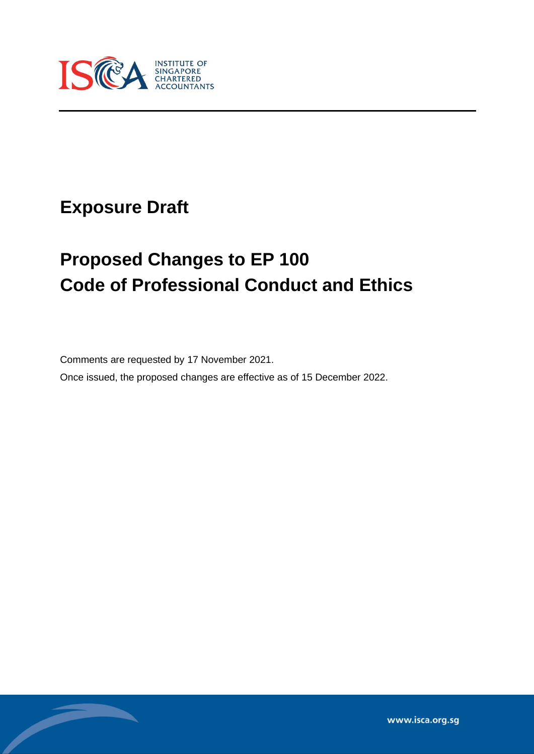

# **Exposure Draft**

Í

# **Proposed Changes to EP 100 Code of Professional Conduct and Ethics**

Comments are requested by 17 November 2021.

Once issued, the proposed changes are effective as of 15 December 2022.

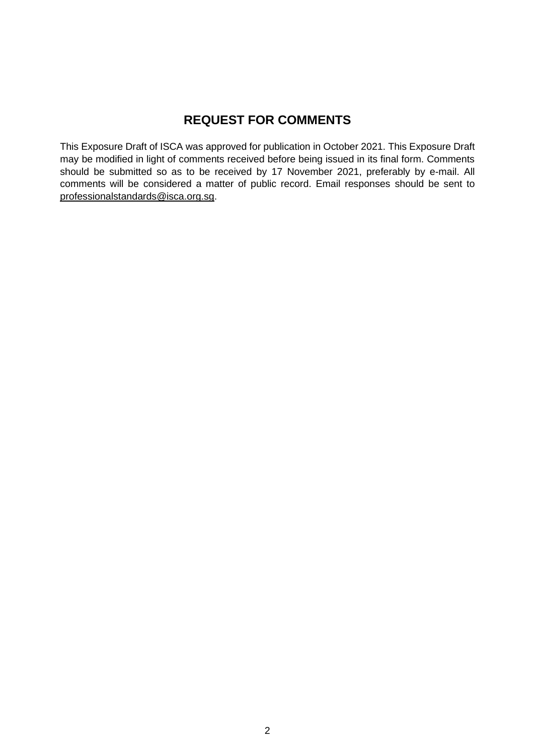# **REQUEST FOR COMMENTS**

This Exposure Draft of ISCA was approved for publication in October 2021. This Exposure Draft may be modified in light of comments received before being issued in its final form. Comments should be submitted so as to be received by 17 November 2021, preferably by e-mail. All comments will be considered a matter of public record. Email responses should be sent to [professionalstandards@isca.org.sg.](mailto:professionalstandards@isca.org.sg)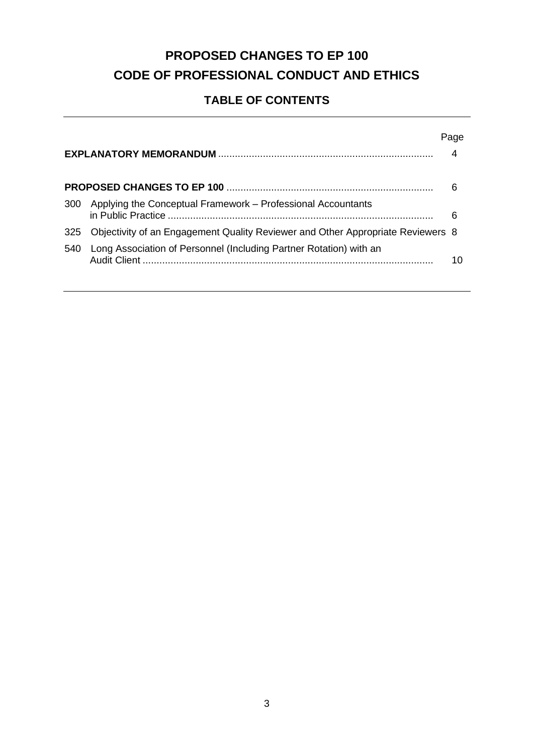# **PROPOSED CHANGES TO EP 100 CODE OF PROFESSIONAL CONDUCT AND ETHICS**

# **TABLE OF CONTENTS**

|     |                                                                                     | Page |
|-----|-------------------------------------------------------------------------------------|------|
|     |                                                                                     | 4    |
|     |                                                                                     | 6    |
|     | 300 Applying the Conceptual Framework – Professional Accountants                    | 6    |
|     | 325 Objectivity of an Engagement Quality Reviewer and Other Appropriate Reviewers 8 |      |
| 540 | Long Association of Personnel (Including Partner Rotation) with an                  | 10   |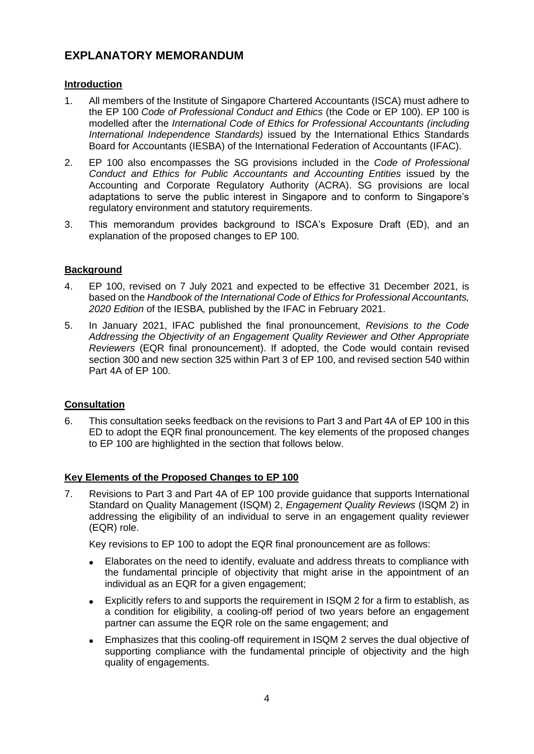# **EXPLANATORY MEMORANDUM**

#### **Introduction**

- 1. All members of the Institute of Singapore Chartered Accountants (ISCA) must adhere to the EP 100 *Code of Professional Conduct and Ethics* (the Code or EP 100). EP 100 is modelled after the *International Code of Ethics for Professional Accountants (including International Independence Standards)* issued by the International Ethics Standards Board for Accountants (IESBA) of the International Federation of Accountants (IFAC).
- 2. EP 100 also encompasses the SG provisions included in the *Code of Professional Conduct and Ethics for Public Accountants and Accounting Entities* issued by the Accounting and Corporate Regulatory Authority (ACRA). SG provisions are local adaptations to serve the public interest in Singapore and to conform to Singapore's regulatory environment and statutory requirements.
- 3. This memorandum provides background to ISCA's Exposure Draft (ED), and an explanation of the proposed changes to EP 100.

#### **Background**

- 4. EP 100, revised on 7 July 2021 and expected to be effective 31 December 2021, is based on the *Handbook of the International Code of Ethics for Professional Accountants, 2020 Edition* of the IESBA*,* published by the IFAC in February 2021.
- 5. In January 2021, IFAC published the final pronouncement, *Revisions to the Code Addressing the Objectivity of an Engagement Quality Reviewer and Other Appropriate Reviewers* (EQR final pronouncement). If adopted, the Code would contain revised section 300 and new section 325 within Part 3 of EP 100, and revised section 540 within Part 4A of EP 100.

#### **Consultation**

6. This consultation seeks feedback on the revisions to Part 3 and Part 4A of EP 100 in this ED to adopt the EQR final pronouncement. The key elements of the proposed changes to EP 100 are highlighted in the section that follows below.

#### **Key Elements of the Proposed Changes to EP 100**

7. Revisions to Part 3 and Part 4A of EP 100 provide guidance that supports International Standard on Quality Management (ISQM) 2, *Engagement Quality Reviews* (ISQM 2) in addressing the eligibility of an individual to serve in an engagement quality reviewer (EQR) role.

Key revisions to EP 100 to adopt the EQR final pronouncement are as follows:

- Elaborates on the need to identify, evaluate and address threats to compliance with the fundamental principle of objectivity that might arise in the appointment of an individual as an EQR for a given engagement;
- Explicitly refers to and supports the requirement in ISQM 2 for a firm to establish, as a condition for eligibility, a cooling-off period of two years before an engagement partner can assume the EQR role on the same engagement; and
- Emphasizes that this cooling-off requirement in ISQM 2 serves the dual objective of supporting compliance with the fundamental principle of objectivity and the high quality of engagements.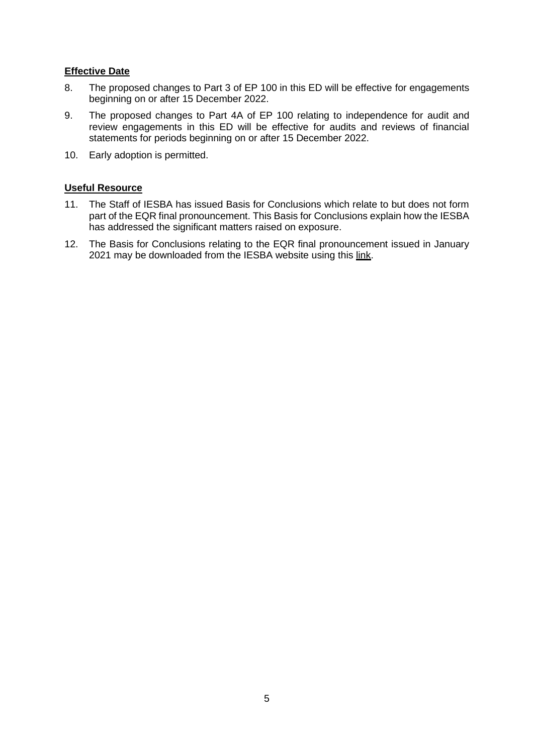#### **Effective Date**

- 8. The proposed changes to Part 3 of EP 100 in this ED will be effective for engagements beginning on or after 15 December 2022.
- 9. The proposed changes to Part 4A of EP 100 relating to independence for audit and review engagements in this ED will be effective for audits and reviews of financial statements for periods beginning on or after 15 December 2022.
- 10. Early adoption is permitted.

#### **Useful Resource**

- 11. The Staff of IESBA has issued Basis for Conclusions which relate to but does not form part of the EQR final pronouncement. This Basis for Conclusions explain how the IESBA has addressed the significant matters raised on exposure.
- 12. The Basis for Conclusions relating to the EQR final pronouncement issued in January 2021 may be downloaded from the IESBA website using this [link.](https://www.ethicsboard.org/publications/final-pronouncement-objectivity-engagement-quality-reviewer-and-other-appropriate-reviewers)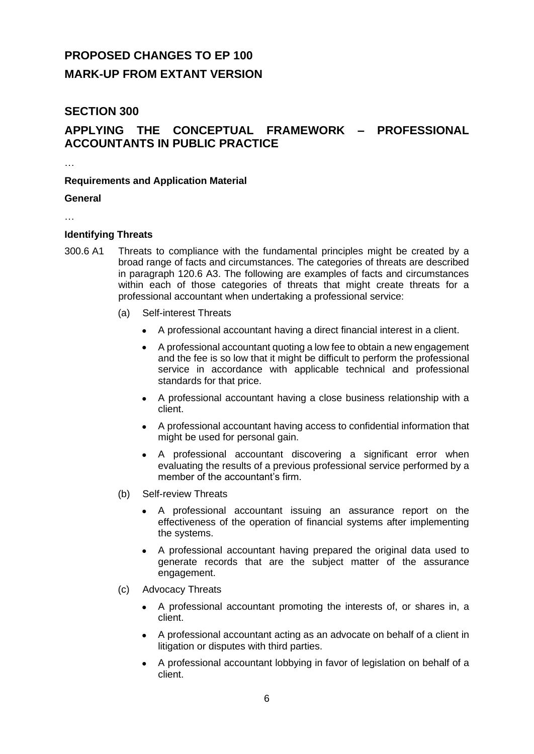# **PROPOSED CHANGES TO EP 100 MARK-UP FROM EXTANT VERSION**

### **SECTION 300**

# **APPLYING THE CONCEPTUAL FRAMEWORK – PROFESSIONAL ACCOUNTANTS IN PUBLIC PRACTICE**

…

#### **Requirements and Application Material**

#### **General**

…

#### **Identifying Threats**

- 300.6 A1 Threats to compliance with the fundamental principles might be created by a broad range of facts and circumstances. The categories of threats are described in paragraph 120.6 A3. The following are examples of facts and circumstances within each of those categories of threats that might create threats for a professional accountant when undertaking a professional service:
	- (a) Self-interest Threats
		- A professional accountant having a direct financial interest in a client.
		- A professional accountant quoting a low fee to obtain a new engagement and the fee is so low that it might be difficult to perform the professional service in accordance with applicable technical and professional standards for that price.
		- A professional accountant having a close business relationship with a client.
		- A professional accountant having access to confidential information that might be used for personal gain.
		- A professional accountant discovering a significant error when evaluating the results of a previous professional service performed by a member of the accountant's firm.
	- (b) Self-review Threats
		- A professional accountant issuing an assurance report on the effectiveness of the operation of financial systems after implementing the systems.
		- A professional accountant having prepared the original data used to generate records that are the subject matter of the assurance engagement.
	- (c) Advocacy Threats
		- A professional accountant promoting the interests of, or shares in, a client.
		- A professional accountant acting as an advocate on behalf of a client in litigation or disputes with third parties.
		- A professional accountant lobbying in favor of legislation on behalf of a client.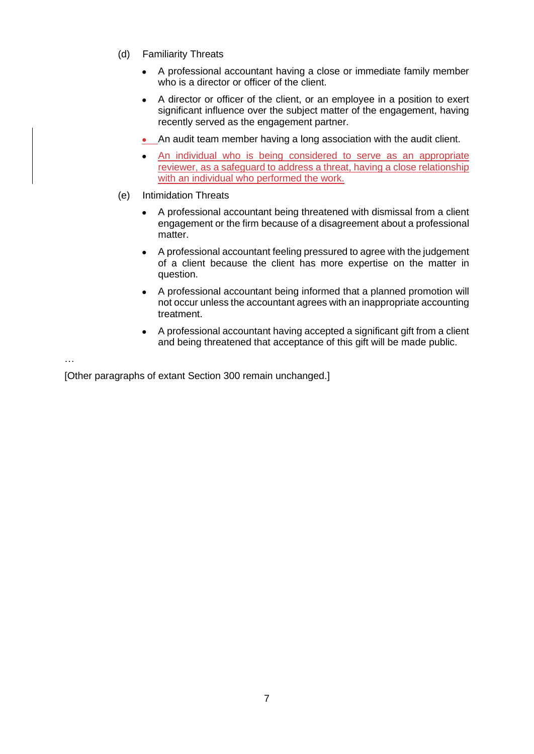- (d) Familiarity Threats
	- A professional accountant having a close or immediate family member who is a director or officer of the client.
	- A director or officer of the client, or an employee in a position to exert significant influence over the subject matter of the engagement, having recently served as the engagement partner.
	- An audit team member having a long association with the audit client.
	- An individual who is being considered to serve as an appropriate reviewer, as a safeguard to address a threat, having a close relationship with an individual who performed the work.
- (e) Intimidation Threats
	- A professional accountant being threatened with dismissal from a client engagement or the firm because of a disagreement about a professional matter.
	- A professional accountant feeling pressured to agree with the judgement of a client because the client has more expertise on the matter in question.
	- A professional accountant being informed that a planned promotion will not occur unless the accountant agrees with an inappropriate accounting treatment.
	- A professional accountant having accepted a significant gift from a client and being threatened that acceptance of this gift will be made public.

…

[Other paragraphs of extant Section 300 remain unchanged.]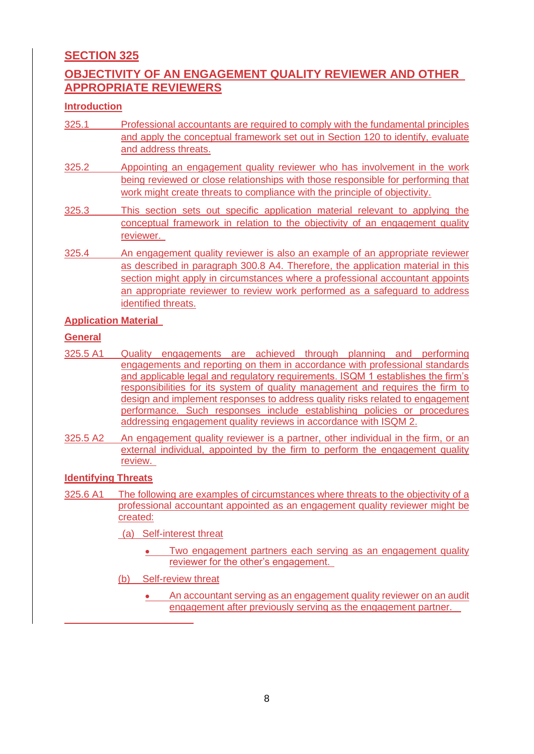# **SECTION 325**

# **OBJECTIVITY OF AN ENGAGEMENT QUALITY REVIEWER AND OTHER APPROPRIATE REVIEWERS**

### **Introduction**

- 325.1 Professional accountants are required to comply with the fundamental principles and apply the conceptual framework set out in Section 120 to identify, evaluate and address threats.
- 325.2 Appointing an engagement quality reviewer who has involvement in the work being reviewed or close relationships with those responsible for performing that work might create threats to compliance with the principle of objectivity.
- 325.3 This section sets out specific application material relevant to applying the conceptual framework in relation to the objectivity of an engagement quality reviewer.
- 325.4 An engagement quality reviewer is also an example of an appropriate reviewer as described in paragraph 300.8 A4. Therefore, the application material in this section might apply in circumstances where a professional accountant appoints an appropriate reviewer to review work performed as a safeguard to address identified threats.

#### **Application Material**

### **General**

- 325.5 A1 Quality engagements are achieved through planning and performing engagements and reporting on them in accordance with professional standards and applicable legal and regulatory requirements. ISQM 1 establishes the firm's responsibilities for its system of quality management and requires the firm to design and implement responses to address quality risks related to engagement performance. Such responses include establishing policies or procedures addressing engagement quality reviews in accordance with ISQM 2.
- 325.5 A2 An engagement quality reviewer is a partner, other individual in the firm, or an external individual, appointed by the firm to perform the engagement quality review.

#### **Identifying Threats**

- 325.6 A1 The following are examples of circumstances where threats to the objectivity of a professional accountant appointed as an engagement quality reviewer might be created:
	- (a) Self-interest threat
		- Two engagement partners each serving as an engagement quality reviewer for the other's engagement.
	- (b) Self-review threat
		- An accountant serving as an engagement quality reviewer on an audit engagement after previously serving as the engagement partner.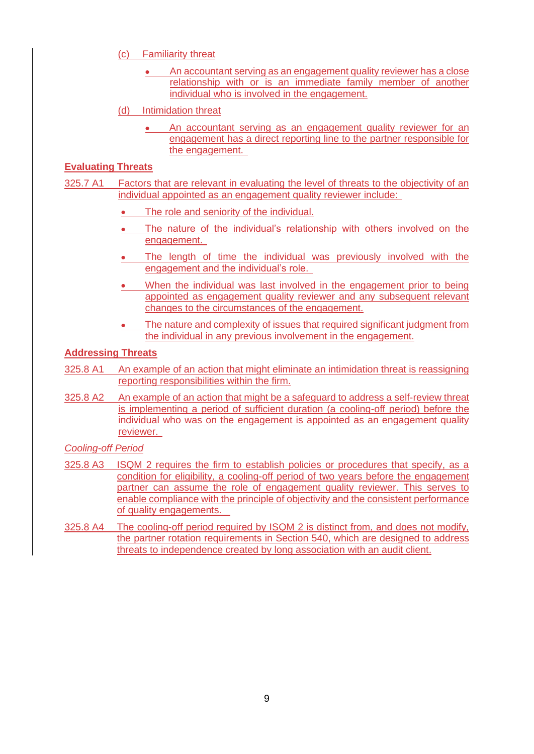- (c) Familiarity threat
	- An accountant serving as an engagement quality reviewer has a close relationship with or is an immediate family member of another individual who is involved in the engagement.
- (d) Intimidation threat
	- An accountant serving as an engagement quality reviewer for an engagement has a direct reporting line to the partner responsible for the engagement.

#### **Evaluating Threats**

- 325.7 A1 Factors that are relevant in evaluating the level of threats to the objectivity of an individual appointed as an engagement quality reviewer include:
	- The role and seniority of the individual.
	- The nature of the individual's relationship with others involved on the engagement.
	- The length of time the individual was previously involved with the engagement and the individual's role.
	- When the individual was last involved in the engagement prior to being appointed as engagement quality reviewer and any subsequent relevant changes to the circumstances of the engagement.
	- The nature and complexity of issues that required significant judgment from the individual in any previous involvement in the engagement.

#### **Addressing Threats**

- 325.8 A1 An example of an action that might eliminate an intimidation threat is reassigning reporting responsibilities within the firm.
- 325.8 A2 An example of an action that might be a safeguard to address a self-review threat is implementing a period of sufficient duration (a cooling-off period) before the individual who was on the engagement is appointed as an engagement quality reviewer.

*Cooling-off Period*

- 325.8 A3 ISQM 2 requires the firm to establish policies or procedures that specify, as a condition for eligibility, a cooling-off period of two years before the engagement partner can assume the role of engagement quality reviewer. This serves to enable compliance with the principle of objectivity and the consistent performance of quality engagements.
- 325.8 A4 The cooling-off period required by ISQM 2 is distinct from, and does not modify, the partner rotation requirements in Section 540, which are designed to address threats to independence created by long association with an audit client.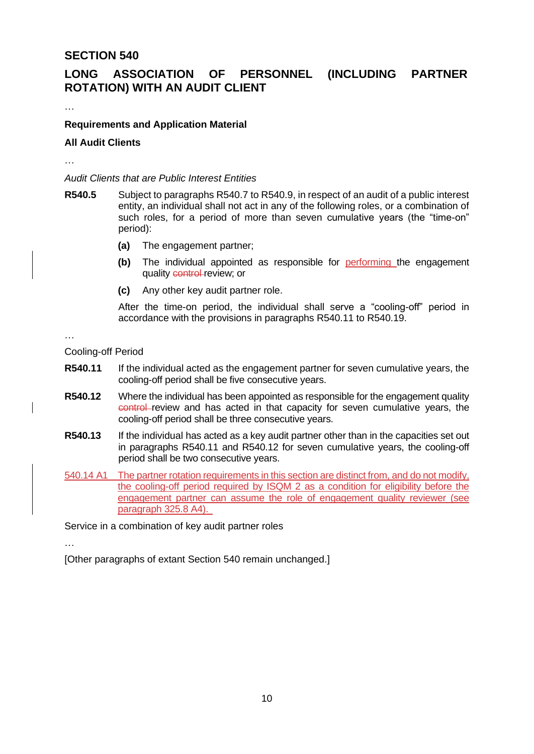## **SECTION 540**

# **LONG ASSOCIATION OF PERSONNEL (INCLUDING PARTNER ROTATION) WITH AN AUDIT CLIENT**

#### **Requirements and Application Material**

#### **All Audit Clients**

…

…

*Audit Clients that are Public Interest Entities*

- **R540.5** Subject to paragraphs R540.7 to R540.9, in respect of an audit of a public interest entity, an individual shall not act in any of the following roles, or a combination of such roles, for a period of more than seven cumulative years (the "time-on" period):
	- **(a)** The engagement partner;
	- **(b)** The individual appointed as responsible for performing the engagement quality control review; or
	- **(c)** Any other key audit partner role.

After the time-on period, the individual shall serve a "cooling-off" period in accordance with the provisions in paragraphs R540.11 to R540.19.

…

#### Cooling-off Period

- **R540.11** If the individual acted as the engagement partner for seven cumulative years, the cooling-off period shall be five consecutive years.
- **R540.12** Where the individual has been appointed as responsible for the engagement quality control review and has acted in that capacity for seven cumulative years, the cooling-off period shall be three consecutive years.
- **R540.13** If the individual has acted as a key audit partner other than in the capacities set out in paragraphs R540.11 and R540.12 for seven cumulative years, the cooling-off period shall be two consecutive years.
- 540.14 A1 The partner rotation requirements in this section are distinct from, and do not modify, the cooling-off period required by ISQM 2 as a condition for eligibility before the engagement partner can assume the role of engagement quality reviewer (see paragraph 325.8 A4).

Service in a combination of key audit partner roles

…

[Other paragraphs of extant Section 540 remain unchanged.]